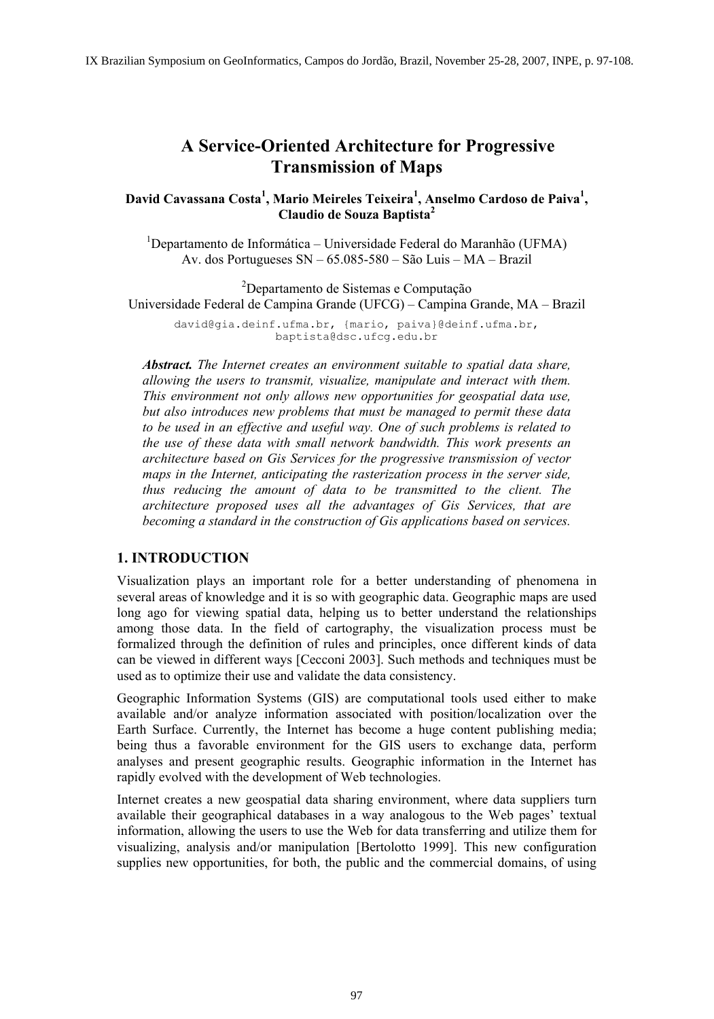# **A Service-Oriented Architecture for Progressive Transmission of Maps**

David Cavassana Costa<sup>1</sup>, Mario Meireles Teixeira<sup>1</sup>, Anselmo Cardoso de Paiva<sup>1</sup>, **Claudio de Souza Baptista2**

1 Departamento de Informática – Universidade Federal do Maranhão (UFMA) Av. dos Portugueses SN – 65.085-580 – São Luis – MA – Brazil

2 Departamento de Sistemas e Computação Universidade Federal de Campina Grande (UFCG) – Campina Grande, MA – Brazil david@gia.deinf.ufma.br, {mario, paiva}@deinf.ufma.br, baptista@dsc.ufcg.edu.br

*Abstract. The Internet creates an environment suitable to spatial data share, allowing the users to transmit, visualize, manipulate and interact with them. This environment not only allows new opportunities for geospatial data use, but also introduces new problems that must be managed to permit these data to be used in an effective and useful way. One of such problems is related to the use of these data with small network bandwidth. This work presents an architecture based on Gis Services for the progressive transmission of vector maps in the Internet, anticipating the rasterization process in the server side, thus reducing the amount of data to be transmitted to the client. The architecture proposed uses all the advantages of Gis Services, that are becoming a standard in the construction of Gis applications based on services.* 

## **1. INTRODUCTION**

Visualization plays an important role for a better understanding of phenomena in several areas of knowledge and it is so with geographic data. Geographic maps are used long ago for viewing spatial data, helping us to better understand the relationships among those data. In the field of cartography, the visualization process must be formalized through the definition of rules and principles, once different kinds of data can be viewed in different ways [Cecconi 2003]. Such methods and techniques must be used as to optimize their use and validate the data consistency.

Geographic Information Systems (GIS) are computational tools used either to make available and/or analyze information associated with position/localization over the Earth Surface. Currently, the Internet has become a huge content publishing media; being thus a favorable environment for the GIS users to exchange data, perform analyses and present geographic results. Geographic information in the Internet has rapidly evolved with the development of Web technologies.

Internet creates a new geospatial data sharing environment, where data suppliers turn available their geographical databases in a way analogous to the Web pages' textual information, allowing the users to use the Web for data transferring and utilize them for visualizing, analysis and/or manipulation [Bertolotto 1999]. This new configuration supplies new opportunities, for both, the public and the commercial domains, of using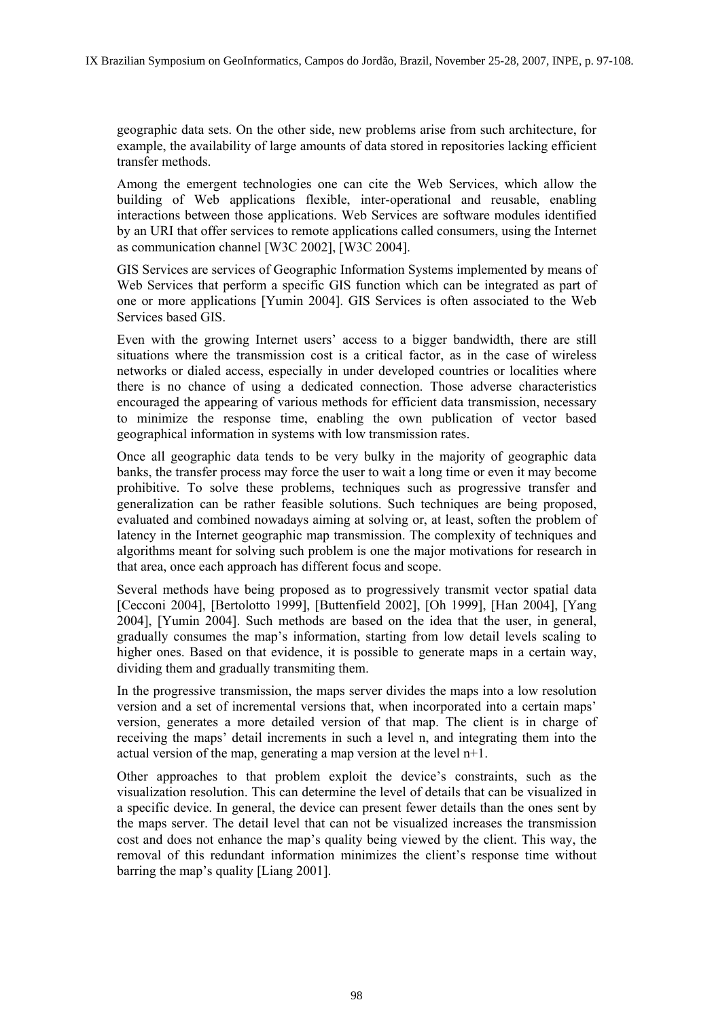geographic data sets. On the other side, new problems arise from such architecture, for example, the availability of large amounts of data stored in repositories lacking efficient transfer methods.

Among the emergent technologies one can cite the Web Services, which allow the building of Web applications flexible, inter-operational and reusable, enabling interactions between those applications. Web Services are software modules identified by an URI that offer services to remote applications called consumers, using the Internet as communication channel [W3C 2002], [W3C 2004].

GIS Services are services of Geographic Information Systems implemented by means of Web Services that perform a specific GIS function which can be integrated as part of one or more applications [Yumin 2004]. GIS Services is often associated to the Web Services based GIS.

Even with the growing Internet users' access to a bigger bandwidth, there are still situations where the transmission cost is a critical factor, as in the case of wireless networks or dialed access, especially in under developed countries or localities where there is no chance of using a dedicated connection. Those adverse characteristics encouraged the appearing of various methods for efficient data transmission, necessary to minimize the response time, enabling the own publication of vector based geographical information in systems with low transmission rates.

Once all geographic data tends to be very bulky in the majority of geographic data banks, the transfer process may force the user to wait a long time or even it may become prohibitive. To solve these problems, techniques such as progressive transfer and generalization can be rather feasible solutions. Such techniques are being proposed, evaluated and combined nowadays aiming at solving or, at least, soften the problem of latency in the Internet geographic map transmission. The complexity of techniques and algorithms meant for solving such problem is one the major motivations for research in that area, once each approach has different focus and scope.

Several methods have being proposed as to progressively transmit vector spatial data [Cecconi 2004], [Bertolotto 1999], [Buttenfield 2002], [Oh 1999], [Han 2004], [Yang 2004], [Yumin 2004]. Such methods are based on the idea that the user, in general, gradually consumes the map's information, starting from low detail levels scaling to higher ones. Based on that evidence, it is possible to generate maps in a certain way, dividing them and gradually transmiting them.

In the progressive transmission, the maps server divides the maps into a low resolution version and a set of incremental versions that, when incorporated into a certain maps' version, generates a more detailed version of that map. The client is in charge of receiving the maps' detail increments in such a level n, and integrating them into the actual version of the map, generating a map version at the level  $n+1$ .

Other approaches to that problem exploit the device's constraints, such as the visualization resolution. This can determine the level of details that can be visualized in a specific device. In general, the device can present fewer details than the ones sent by the maps server. The detail level that can not be visualized increases the transmission cost and does not enhance the map's quality being viewed by the client. This way, the removal of this redundant information minimizes the client's response time without barring the map's quality [Liang 2001].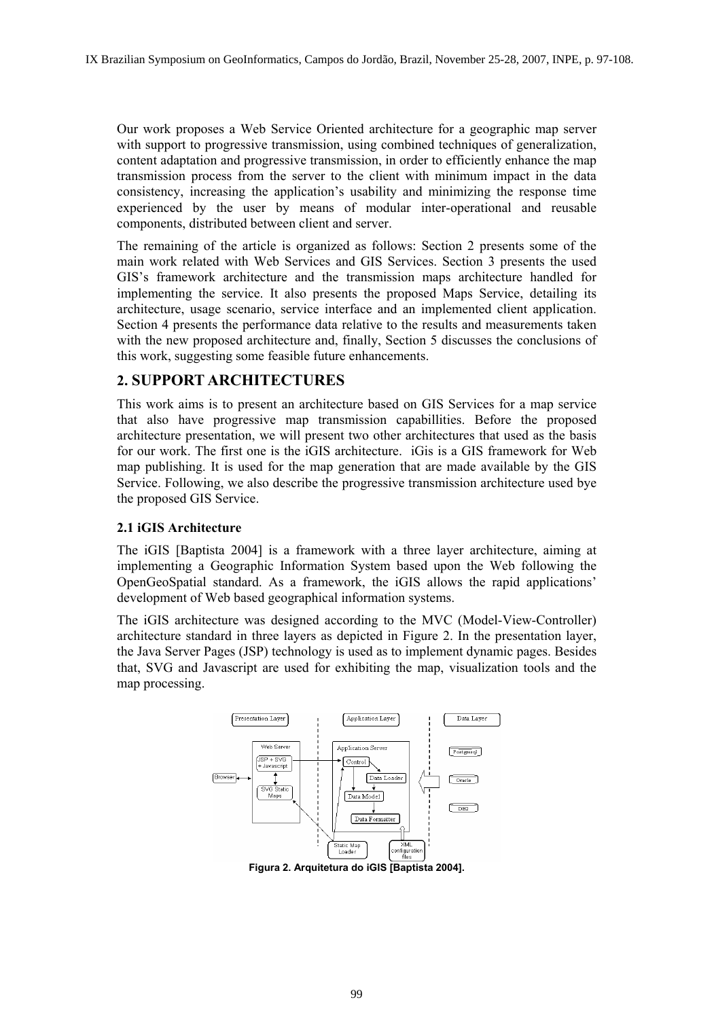Our work proposes a Web Service Oriented architecture for a geographic map server with support to progressive transmission, using combined techniques of generalization, content adaptation and progressive transmission, in order to efficiently enhance the map transmission process from the server to the client with minimum impact in the data consistency, increasing the application's usability and minimizing the response time experienced by the user by means of modular inter-operational and reusable components, distributed between client and server.

The remaining of the article is organized as follows: Section 2 presents some of the main work related with Web Services and GIS Services. Section 3 presents the used GIS's framework architecture and the transmission maps architecture handled for implementing the service. It also presents the proposed Maps Service, detailing its architecture, usage scenario, service interface and an implemented client application. Section 4 presents the performance data relative to the results and measurements taken with the new proposed architecture and, finally, Section 5 discusses the conclusions of this work, suggesting some feasible future enhancements.

## **2. SUPPORT ARCHITECTURES**

This work aims is to present an architecture based on GIS Services for a map service that also have progressive map transmission capabillities. Before the proposed architecture presentation, we will present two other architectures that used as the basis for our work. The first one is the iGIS architecture. iGis is a GIS framework for Web map publishing. It is used for the map generation that are made available by the GIS Service. Following, we also describe the progressive transmission architecture used bye the proposed GIS Service.

## **2.1 iGIS Architecture**

The iGIS [Baptista 2004] is a framework with a three layer architecture, aiming at implementing a Geographic Information System based upon the Web following the OpenGeoSpatial standard. As a framework, the iGIS allows the rapid applications' development of Web based geographical information systems.

The iGIS architecture was designed according to the MVC (Model-View-Controller) architecture standard in three layers as depicted in Figure 2. In the presentation layer, the Java Server Pages (JSP) technology is used as to implement dynamic pages. Besides that, SVG and Javascript are used for exhibiting the map, visualization tools and the map processing.



**Figura 2. Arquitetura do iGIS [Baptista 2004].**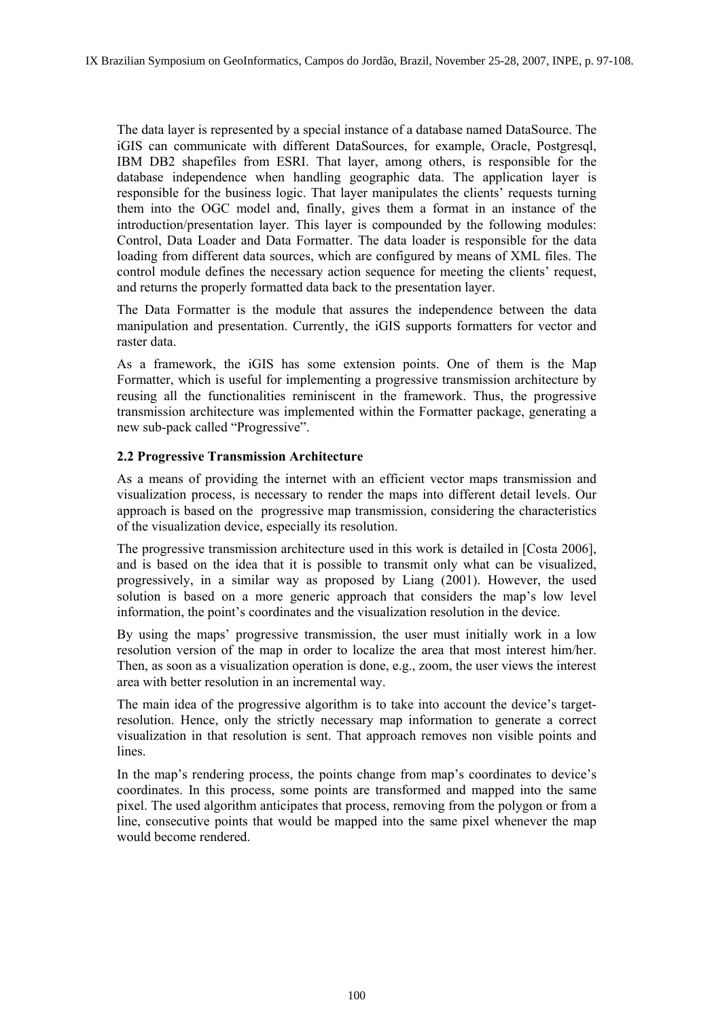The data layer is represented by a special instance of a database named DataSource. The iGIS can communicate with different DataSources, for example, Oracle, Postgresql, IBM DB2 shapefiles from ESRI. That layer, among others, is responsible for the database independence when handling geographic data. The application layer is responsible for the business logic. That layer manipulates the clients' requests turning them into the OGC model and, finally, gives them a format in an instance of the introduction/presentation layer. This layer is compounded by the following modules: Control, Data Loader and Data Formatter. The data loader is responsible for the data loading from different data sources, which are configured by means of XML files. The control module defines the necessary action sequence for meeting the clients' request, and returns the properly formatted data back to the presentation layer.

The Data Formatter is the module that assures the independence between the data manipulation and presentation. Currently, the iGIS supports formatters for vector and raster data.

As a framework, the iGIS has some extension points. One of them is the Map Formatter, which is useful for implementing a progressive transmission architecture by reusing all the functionalities reminiscent in the framework. Thus, the progressive transmission architecture was implemented within the Formatter package, generating a new sub-pack called "Progressive".

### **2.2 Progressive Transmission Architecture**

As a means of providing the internet with an efficient vector maps transmission and visualization process, is necessary to render the maps into different detail levels. Our approach is based on the progressive map transmission, considering the characteristics of the visualization device, especially its resolution.

The progressive transmission architecture used in this work is detailed in [Costa 2006], and is based on the idea that it is possible to transmit only what can be visualized, progressively, in a similar way as proposed by Liang (2001). However, the used solution is based on a more generic approach that considers the map's low level information, the point's coordinates and the visualization resolution in the device.

By using the maps' progressive transmission, the user must initially work in a low resolution version of the map in order to localize the area that most interest him/her. Then, as soon as a visualization operation is done, e.g., zoom, the user views the interest area with better resolution in an incremental way.

The main idea of the progressive algorithm is to take into account the device's targetresolution. Hence, only the strictly necessary map information to generate a correct visualization in that resolution is sent. That approach removes non visible points and lines.

In the map's rendering process, the points change from map's coordinates to device's coordinates. In this process, some points are transformed and mapped into the same pixel. The used algorithm anticipates that process, removing from the polygon or from a line, consecutive points that would be mapped into the same pixel whenever the map would become rendered.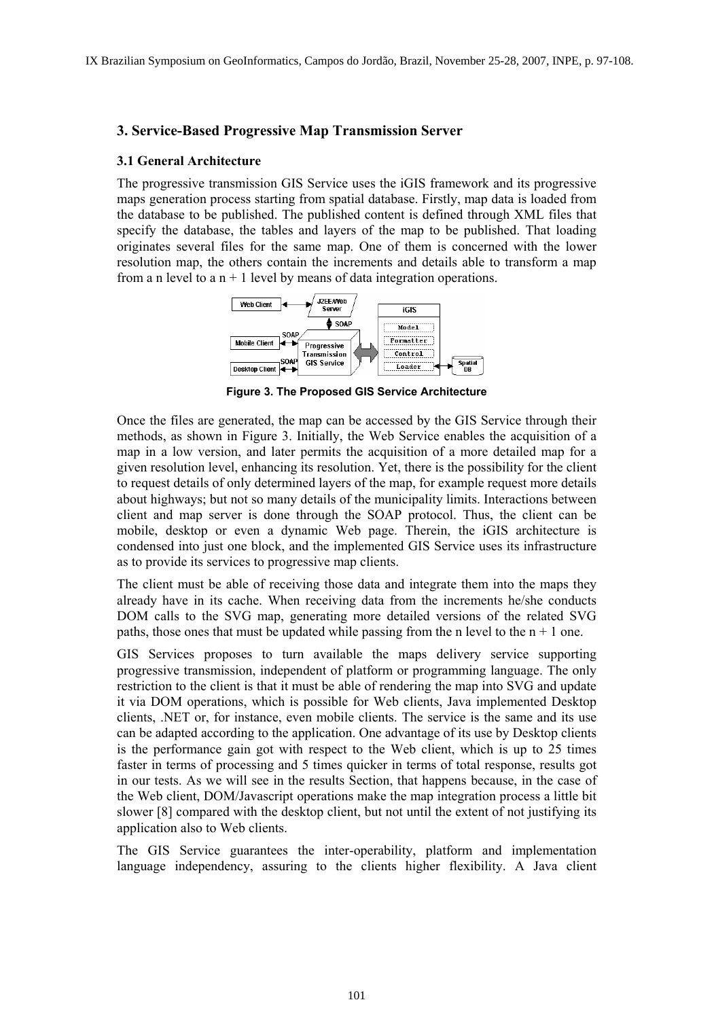### **3. Service-Based Progressive Map Transmission Server**

#### **3.1 General Architecture**

The progressive transmission GIS Service uses the iGIS framework and its progressive maps generation process starting from spatial database. Firstly, map data is loaded from the database to be published. The published content is defined through XML files that specify the database, the tables and layers of the map to be published. That loading originates several files for the same map. One of them is concerned with the lower resolution map, the others contain the increments and details able to transform a map from a n level to a  $n + 1$  level by means of data integration operations.



**Figure 3. The Proposed GIS Service Architecture** 

Once the files are generated, the map can be accessed by the GIS Service through their methods, as shown in Figure 3. Initially, the Web Service enables the acquisition of a map in a low version, and later permits the acquisition of a more detailed map for a given resolution level, enhancing its resolution. Yet, there is the possibility for the client to request details of only determined layers of the map, for example request more details about highways; but not so many details of the municipality limits. Interactions between client and map server is done through the SOAP protocol. Thus, the client can be mobile, desktop or even a dynamic Web page. Therein, the iGIS architecture is condensed into just one block, and the implemented GIS Service uses its infrastructure as to provide its services to progressive map clients.

The client must be able of receiving those data and integrate them into the maps they already have in its cache. When receiving data from the increments he/she conducts DOM calls to the SVG map, generating more detailed versions of the related SVG paths, those ones that must be updated while passing from the n level to the  $n + 1$  one.

GIS Services proposes to turn available the maps delivery service supporting progressive transmission, independent of platform or programming language. The only restriction to the client is that it must be able of rendering the map into SVG and update it via DOM operations, which is possible for Web clients, Java implemented Desktop clients, .NET or, for instance, even mobile clients. The service is the same and its use can be adapted according to the application. One advantage of its use by Desktop clients is the performance gain got with respect to the Web client, which is up to 25 times faster in terms of processing and 5 times quicker in terms of total response, results got in our tests. As we will see in the results Section, that happens because, in the case of the Web client, DOM/Javascript operations make the map integration process a little bit slower [8] compared with the desktop client, but not until the extent of not justifying its application also to Web clients.

The GIS Service guarantees the inter-operability, platform and implementation language independency, assuring to the clients higher flexibility. A Java client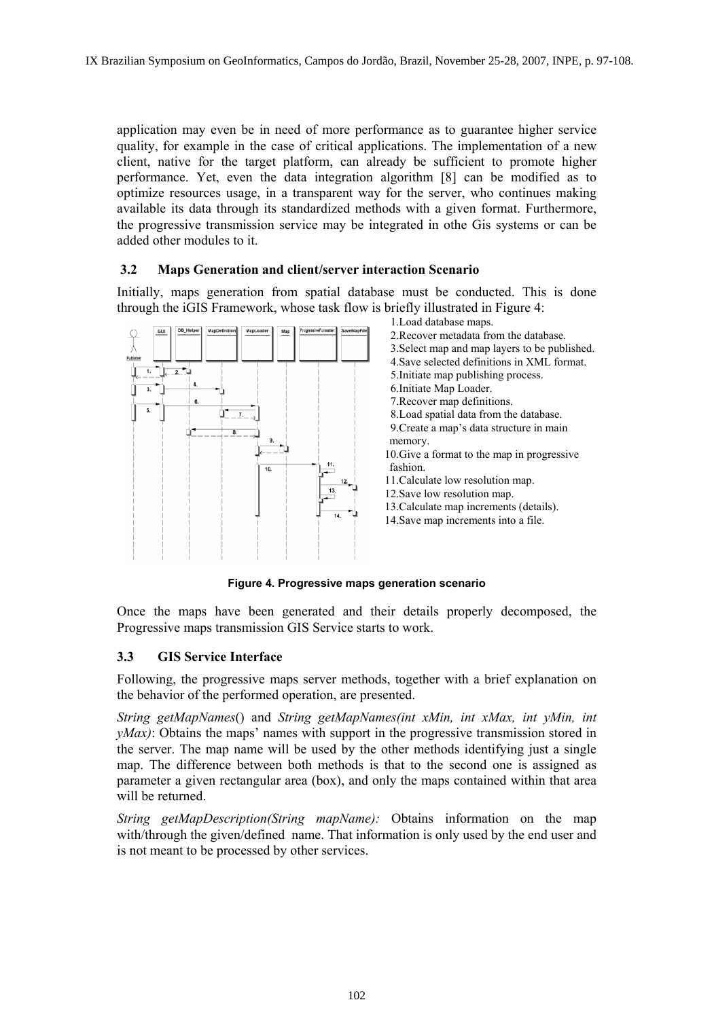application may even be in need of more performance as to guarantee higher service quality, for example in the case of critical applications. The implementation of a new client, native for the target platform, can already be sufficient to promote higher performance. Yet, even the data integration algorithm [8] can be modified as to optimize resources usage, in a transparent way for the server, who continues making available its data through its standardized methods with a given format. Furthermore, the progressive transmission service may be integrated in othe Gis systems or can be added other modules to it.

## **3.2 Maps Generation and client/server interaction Scenario**

Initially, maps generation from spatial database must be conducted. This is done through the iGIS Framework, whose task flow is briefly illustrated in Figure 4:



1.Load database maps. 2.Recover metadata from the database. 3.Select map and map layers to be published. 4.Save selected definitions in XML format. 5.Initiate map publishing process. 6.Initiate Map Loader. 7.Recover map definitions. 8.Load spatial data from the database. 9.Create a map's data structure in main memory. 10.Give a format to the map in progressive fashion. 11.Calculate low resolution map. 12.Save low resolution map. 13.Calculate map increments (details).

14.Save map increments into a file.

**Figure 4. Progressive maps generation scenario** 

Once the maps have been generated and their details properly decomposed, the Progressive maps transmission GIS Service starts to work.

### **3.3 GIS Service Interface**

Following, the progressive maps server methods, together with a brief explanation on the behavior of the performed operation, are presented.

*String getMapNames*() and *String getMapNames(int xMin, int xMax, int yMin, int yMax*): Obtains the maps' names with support in the progressive transmission stored in the server. The map name will be used by the other methods identifying just a single map. The difference between both methods is that to the second one is assigned as parameter a given rectangular area (box), and only the maps contained within that area will be returned.

*String getMapDescription(String mapName):* Obtains information on the map with/through the given/defined name. That information is only used by the end user and is not meant to be processed by other services.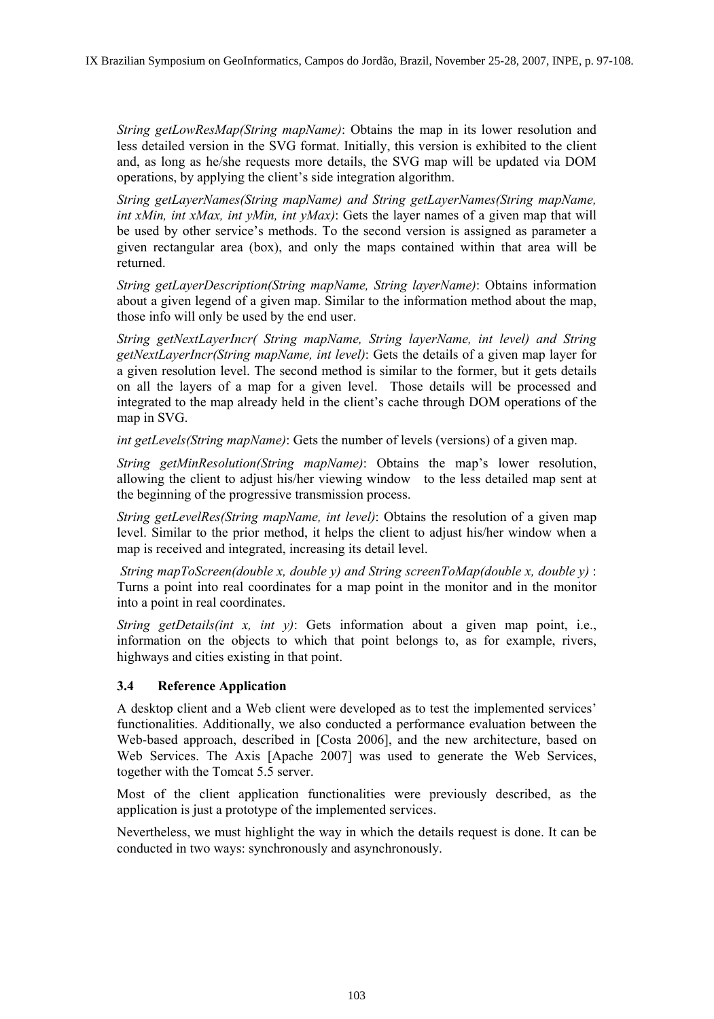*String getLowResMap(String mapName)*: Obtains the map in its lower resolution and less detailed version in the SVG format. Initially, this version is exhibited to the client and, as long as he/she requests more details, the SVG map will be updated via DOM operations, by applying the client's side integration algorithm.

*String getLayerNames(String mapName) and String getLayerNames(String mapName, int xMin, int xMax, int yMin, int yMax)*: Gets the layer names of a given map that will be used by other service's methods. To the second version is assigned as parameter a given rectangular area (box), and only the maps contained within that area will be returned.

*String getLayerDescription(String mapName, String layerName)*: Obtains information about a given legend of a given map. Similar to the information method about the map, those info will only be used by the end user.

*String getNextLayerIncr( String mapName, String layerName, int level) and String getNextLayerIncr(String mapName, int level)*: Gets the details of a given map layer for a given resolution level. The second method is similar to the former, but it gets details on all the layers of a map for a given level. Those details will be processed and integrated to the map already held in the client's cache through DOM operations of the map in SVG.

*int getLevels(String mapName)*: Gets the number of levels (versions) of a given map.

*String getMinResolution(String mapName)*: Obtains the map's lower resolution, allowing the client to adjust his/her viewing window to the less detailed map sent at the beginning of the progressive transmission process.

*String getLevelRes(String mapName, int level)*: Obtains the resolution of a given map level. Similar to the prior method, it helps the client to adjust his/her window when a map is received and integrated, increasing its detail level.

 *String mapToScreen(double x, double y) and String screenToMap(double x, double y)* : Turns a point into real coordinates for a map point in the monitor and in the monitor into a point in real coordinates.

*String getDetails(int x, int y)*: Gets information about a given map point, i.e., information on the objects to which that point belongs to, as for example, rivers, highways and cities existing in that point.

## **3.4 Reference Application**

A desktop client and a Web client were developed as to test the implemented services' functionalities. Additionally, we also conducted a performance evaluation between the Web-based approach, described in [Costa 2006], and the new architecture, based on Web Services. The Axis [Apache 2007] was used to generate the Web Services, together with the Tomcat 5.5 server.

Most of the client application functionalities were previously described, as the application is just a prototype of the implemented services.

Nevertheless, we must highlight the way in which the details request is done. It can be conducted in two ways: synchronously and asynchronously.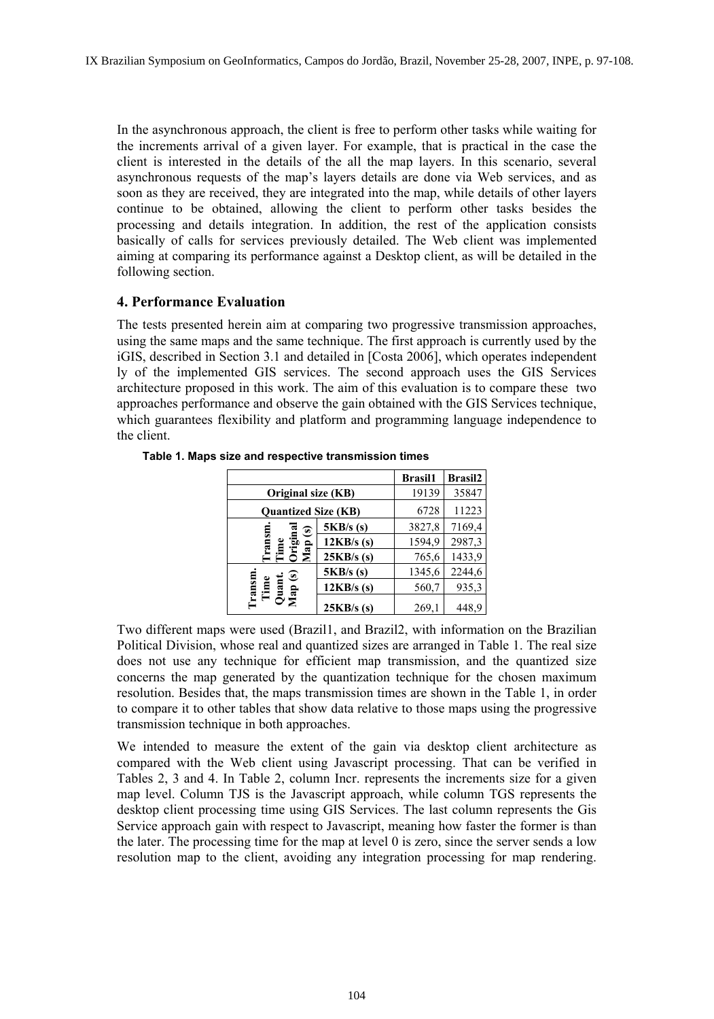In the asynchronous approach, the client is free to perform other tasks while waiting for the increments arrival of a given layer. For example, that is practical in the case the client is interested in the details of the all the map layers. In this scenario, several asynchronous requests of the map's layers details are done via Web services, and as soon as they are received, they are integrated into the map, while details of other layers continue to be obtained, allowing the client to perform other tasks besides the processing and details integration. In addition, the rest of the application consists basically of calls for services previously detailed. The Web client was implemented aiming at comparing its performance against a Desktop client, as will be detailed in the following section.

## **4. Performance Evaluation**

The tests presented herein aim at comparing two progressive transmission approaches, using the same maps and the same technique. The first approach is currently used by the iGIS, described in Section 3.1 and detailed in [Costa 2006], which operates independent ly of the implemented GIS services. The second approach uses the GIS Services architecture proposed in this work. The aim of this evaluation is to compare these two approaches performance and observe the gain obtained with the GIS Services technique, which guarantees flexibility and platform and programming language independence to the client.

|                                    |              | <b>Brasil1</b> | <b>Brasil2</b> |
|------------------------------------|--------------|----------------|----------------|
| Original size (KB)                 |              | 19139          | 35847          |
| <b>Ouantized Size (KB)</b>         |              | 6728           | 11223          |
| $\circledast$<br>.ar<br>Ծեց<br>Մահ | 5KB/s(s)     | 3827,8         | 7169,4         |
|                                    | $12KB/s$ (s) | 1594,9         | 2987,3         |
|                                    | $25KB/s$ (s) | 765,6          | 1433,9         |
| ଛ<br>ransn<br>Time<br>Quar<br>Map  | 5KB/s(s)     | 1345,6         | 2244,6         |
|                                    | $12KB/s$ (s) | 560,7          | 935,3          |
|                                    | $25KB/s$ (s) | 269,1          | 448.9          |

**Table 1. Maps size and respective transmission times** 

Two different maps were used (Brazil1, and Brazil2, with information on the Brazilian Political Division, whose real and quantized sizes are arranged in Table 1. The real size does not use any technique for efficient map transmission, and the quantized size concerns the map generated by the quantization technique for the chosen maximum resolution. Besides that, the maps transmission times are shown in the Table 1, in order to compare it to other tables that show data relative to those maps using the progressive transmission technique in both approaches.

We intended to measure the extent of the gain via desktop client architecture as compared with the Web client using Javascript processing. That can be verified in Tables 2, 3 and 4. In Table 2, column Incr. represents the increments size for a given map level. Column TJS is the Javascript approach, while column TGS represents the desktop client processing time using GIS Services. The last column represents the Gis Service approach gain with respect to Javascript, meaning how faster the former is than the later. The processing time for the map at level 0 is zero, since the server sends a low resolution map to the client, avoiding any integration processing for map rendering.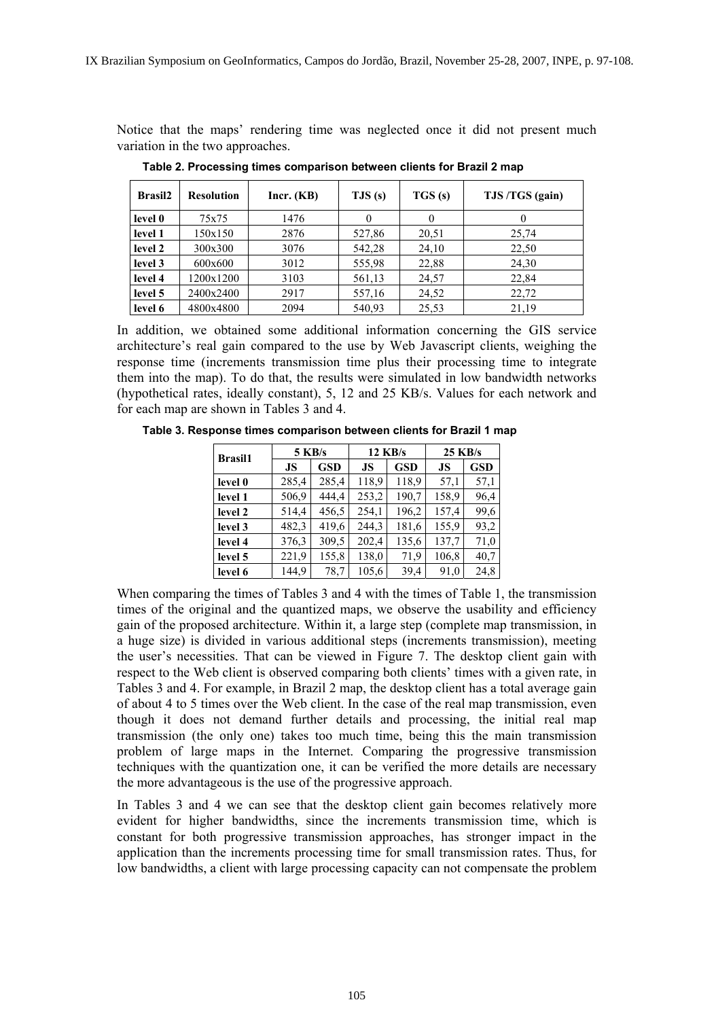Notice that the maps' rendering time was neglected once it did not present much variation in the two approaches.

| <b>Brasil2</b> | <b>Resolution</b> | Incr. (KB) | TJS(s) | TGS(s) | TJS/TGS (gain) |
|----------------|-------------------|------------|--------|--------|----------------|
| level 0        | 75x75             | 1476       |        |        | $\theta$       |
| level 1        | 150x150           | 2876       | 527,86 | 20,51  | 25,74          |
| level 2        | 300x300           | 3076       | 542,28 | 24,10  | 22,50          |
| level 3        | 600x600           | 3012       | 555,98 | 22,88  | 24,30          |
| level 4        | 1200x1200         | 3103       | 561,13 | 24,57  | 22,84          |
| level 5        | 2400x2400         | 2917       | 557,16 | 24,52  | 22,72          |
| level 6        | 4800x4800         | 2094       | 540,93 | 25,53  | 21,19          |

**Table 2. Processing times comparison between clients for Brazil 2 map** 

In addition, we obtained some additional information concerning the GIS service architecture's real gain compared to the use by Web Javascript clients, weighing the response time (increments transmission time plus their processing time to integrate them into the map). To do that, the results were simulated in low bandwidth networks (hypothetical rates, ideally constant), 5, 12 and 25 KB/s. Values for each network and for each map are shown in Tables 3 and 4.

**5 KB/s** 12 KB/s 25 KB/s<br>**Brasil1 15 LGCD 15 LGCD 16 LGC JS GSD JS GSD JS GSD level 0**  $\begin{bmatrix} 285,4 & 285,4 & 118,9 & 118,9 & 57,1 & 57,1 \end{bmatrix}$ **level 1 506,9 444,4 253,2 190,7 158,9 96,4 level 2** | 514,4 | 456,5 | 254,1 | 196,2 | 157,4 | 99,6 **level 3**  $\begin{array}{|c|c|c|c|c|c|} \hline 482,3 & 419,6 & 244,3 & 181,6 & 155,9 & 93,2 \hline \end{array}$ **level 4**  $\begin{array}{|c|c|c|c|c|c|} \hline 376,3 & 309,5 & 202,4 & 135,6 & 137,7 & 71,0 \\\hline \end{array}$ **level 5** 221,9 155,8 138,0 71,9 106,8 40,7 **level 6**  $\begin{bmatrix} 144.9 & 78.7 & 105.6 & 39.4 & 91.0 & 24.8 \end{bmatrix}$ 

**Table 3. Response times comparison between clients for Brazil 1 map** 

When comparing the times of Tables 3 and 4 with the times of Table 1, the transmission times of the original and the quantized maps, we observe the usability and efficiency gain of the proposed architecture. Within it, a large step (complete map transmission, in a huge size) is divided in various additional steps (increments transmission), meeting the user's necessities. That can be viewed in Figure 7. The desktop client gain with respect to the Web client is observed comparing both clients' times with a given rate, in Tables 3 and 4. For example, in Brazil 2 map, the desktop client has a total average gain of about 4 to 5 times over the Web client. In the case of the real map transmission, even though it does not demand further details and processing, the initial real map transmission (the only one) takes too much time, being this the main transmission problem of large maps in the Internet. Comparing the progressive transmission techniques with the quantization one, it can be verified the more details are necessary the more advantageous is the use of the progressive approach.

In Tables 3 and 4 we can see that the desktop client gain becomes relatively more evident for higher bandwidths, since the increments transmission time, which is constant for both progressive transmission approaches, has stronger impact in the application than the increments processing time for small transmission rates. Thus, for low bandwidths, a client with large processing capacity can not compensate the problem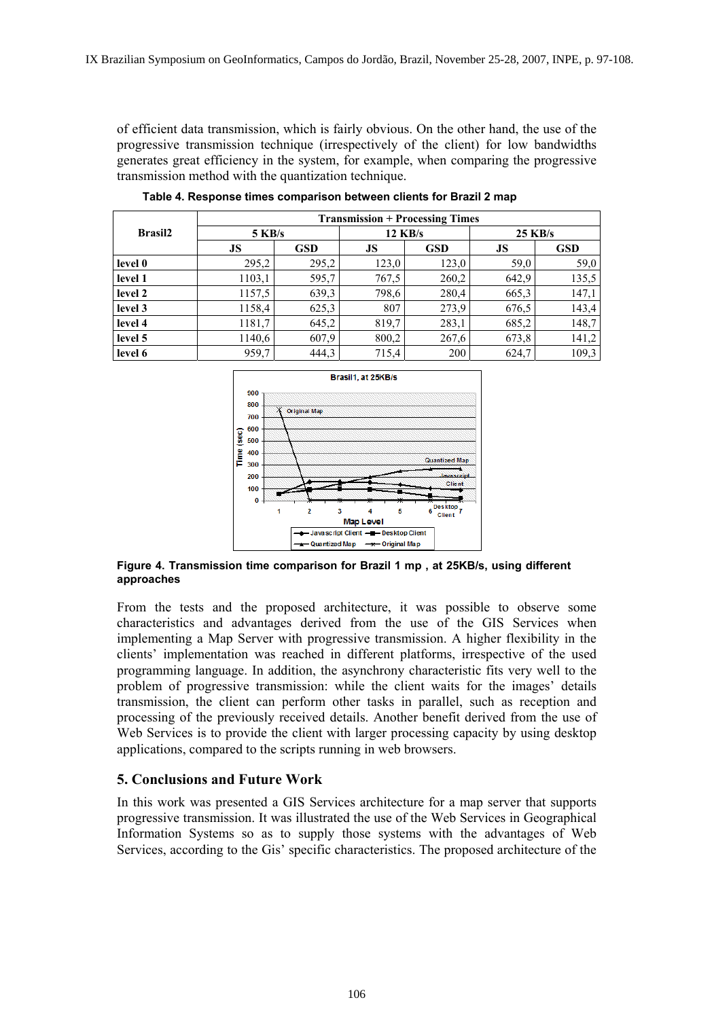of efficient data transmission, which is fairly obvious. On the other hand, the use of the progressive transmission technique (irrespectively of the client) for low bandwidths generates great efficiency in the system, for example, when comparing the progressive transmission method with the quantization technique.

|                | <b>Transmission + Processing Times</b> |            |           |            |           |            |  |
|----------------|----------------------------------------|------------|-----------|------------|-----------|------------|--|
| <b>Brasil2</b> | $5$ KB/s                               |            | $12$ KB/s |            | $25$ KB/s |            |  |
|                | JS                                     | <b>GSD</b> | JS        | <b>GSD</b> | JS        | <b>GSD</b> |  |
| level 0        | 295,2                                  | 295,2      | 123,0     | 123,0      | 59,0      | 59,0       |  |
| level 1        | 1103,1                                 | 595,7      | 767,5     | 260,2      | 642,9     | 135,5      |  |
| level 2        | 1157,5                                 | 639,3      | 798,6     | 280,4      | 665,3     | 147,1      |  |
| level 3        | 1158,4                                 | 625,3      | 807       | 273,9      | 676.5     | 143,4      |  |
| level 4        | 1181,7                                 | 645,2      | 819,7     | 283,1      | 685,2     | 148,7      |  |
| level 5        | 1140,6                                 | 607,9      | 800,2     | 267,6      | 673,8     | 141,2      |  |
| level 6        | 959,7                                  | 444,3      | 715,4     | 200        | 624,7     | 109,3      |  |

**Table 4. Response times comparison between clients for Brazil 2 map** 



**Figure 4. Transmission time comparison for Brazil 1 mp , at 25KB/s, using different approaches** 

From the tests and the proposed architecture, it was possible to observe some characteristics and advantages derived from the use of the GIS Services when implementing a Map Server with progressive transmission. A higher flexibility in the clients' implementation was reached in different platforms, irrespective of the used programming language. In addition, the asynchrony characteristic fits very well to the problem of progressive transmission: while the client waits for the images' details transmission, the client can perform other tasks in parallel, such as reception and processing of the previously received details. Another benefit derived from the use of Web Services is to provide the client with larger processing capacity by using desktop applications, compared to the scripts running in web browsers.

### **5. Conclusions and Future Work**

In this work was presented a GIS Services architecture for a map server that supports progressive transmission. It was illustrated the use of the Web Services in Geographical Information Systems so as to supply those systems with the advantages of Web Services, according to the Gis' specific characteristics. The proposed architecture of the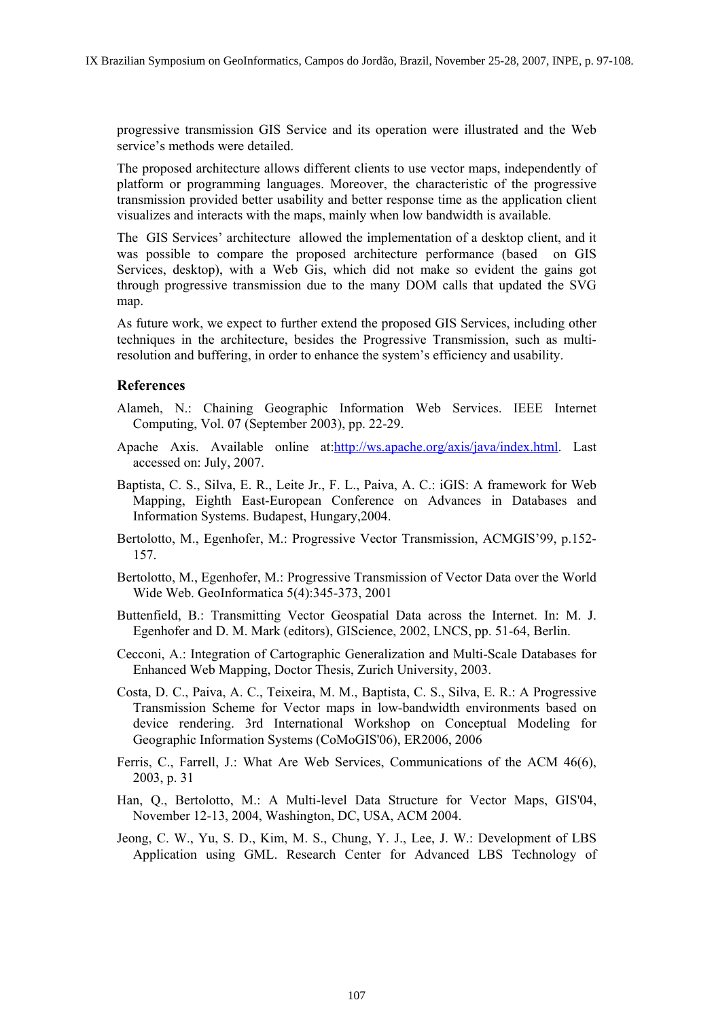progressive transmission GIS Service and its operation were illustrated and the Web service's methods were detailed.

The proposed architecture allows different clients to use vector maps, independently of platform or programming languages. Moreover, the characteristic of the progressive transmission provided better usability and better response time as the application client visualizes and interacts with the maps, mainly when low bandwidth is available.

The GIS Services' architecture allowed the implementation of a desktop client, and it was possible to compare the proposed architecture performance (based on GIS Services, desktop), with a Web Gis, which did not make so evident the gains got through progressive transmission due to the many DOM calls that updated the SVG map.

As future work, we expect to further extend the proposed GIS Services, including other techniques in the architecture, besides the Progressive Transmission, such as multiresolution and buffering, in order to enhance the system's efficiency and usability.

### **References**

- Alameh, N.: Chaining Geographic Information Web Services. IEEE Internet Computing, Vol. 07 (September 2003), pp. 22-29.
- Apache Axis. Available online at:http://ws.apache.org/axis/java/index.html. Last accessed on: July, 2007.
- Baptista, C. S., Silva, E. R., Leite Jr., F. L., Paiva, A. C.: iGIS: A framework for Web Mapping, Eighth East-European Conference on Advances in Databases and Information Systems. Budapest, Hungary,2004.
- Bertolotto, M., Egenhofer, M.: Progressive Vector Transmission, ACMGIS'99, p.152- 157.
- Bertolotto, M., Egenhofer, M.: Progressive Transmission of Vector Data over the World Wide Web. GeoInformatica 5(4):345-373, 2001
- Buttenfield, B.: Transmitting Vector Geospatial Data across the Internet. In: M. J. Egenhofer and D. M. Mark (editors), GIScience, 2002, LNCS, pp. 51-64, Berlin.
- Cecconi, A.: Integration of Cartographic Generalization and Multi-Scale Databases for Enhanced Web Mapping, Doctor Thesis, Zurich University, 2003.
- Costa, D. C., Paiva, A. C., Teixeira, M. M., Baptista, C. S., Silva, E. R.: A Progressive Transmission Scheme for Vector maps in low-bandwidth environments based on device rendering. 3rd International Workshop on Conceptual Modeling for Geographic Information Systems (CoMoGIS'06), ER2006, 2006
- Ferris, C., Farrell, J.: What Are Web Services, Communications of the ACM 46(6), 2003, p. 31
- Han, Q., Bertolotto, M.: A Multi-level Data Structure for Vector Maps, GIS'04, November 12-13, 2004, Washington, DC, USA, ACM 2004.
- Jeong, C. W., Yu, S. D., Kim, M. S., Chung, Y. J., Lee, J. W.: Development of LBS Application using GML. Research Center for Advanced LBS Technology of